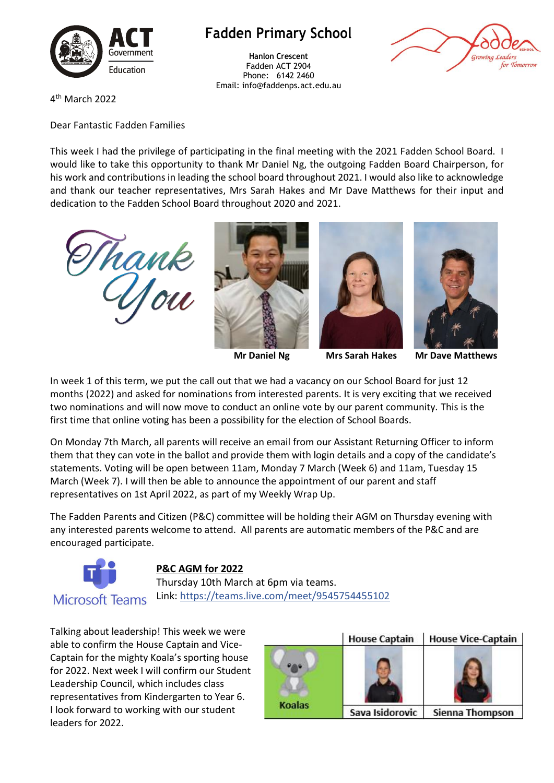

## **Fadden Primary School**

**Hanlon Crescent** Fadden ACT 2904 Phone: 6142 2460 Email: info@faddenps.act.edu.au



4 th March 2022

Dear Fantastic Fadden Families

This week I had the privilege of participating in the final meeting with the 2021 Fadden School Board. I would like to take this opportunity to thank Mr Daniel Ng, the outgoing Fadden Board Chairperson, for his work and contributions in leading the school board throughout 2021. I would also like to acknowledge and thank our teacher representatives, Mrs Sarah Hakes and Mr Dave Matthews for their input and dedication to the Fadden School Board throughout 2020 and 2021.









**Mr Daniel Ng Mrs Sarah Hakes Mr Dave Matthews**

In week 1 of this term, we put the call out that we had a vacancy on our School Board for just 12 months (2022) and asked for nominations from interested parents. It is very exciting that we received two nominations and will now move to conduct an online vote by our parent community. This is the

first time that online voting has been a possibility for the election of School Boards.

On Monday 7th March, all parents will receive an email from our Assistant Returning Officer to inform them that they can vote in the ballot and provide them with login details and a copy of the candidate's statements. Voting will be open between 11am, Monday 7 March (Week 6) and 11am, Tuesday 15 March (Week 7). I will then be able to announce the appointment of our parent and staff representatives on 1st April 2022, as part of my Weekly Wrap Up.

The Fadden Parents and Citizen (P&C) committee will be holding their AGM on Thursday evening with any interested parents welcome to attend. All parents are automatic members of the P&C and are encouraged participate.



## **P&C AGM for 2022**

Thursday 10th March at 6pm via teams. Link: [https://teams.live.com/meet/9545754455102](https://aus01.safelinks.protection.outlook.com/?url=https%3A%2F%2Fteams.live.com%2Fmeet%2F9545754455102&data=04%7C01%7C%7C9e2a66073dea4caa785f08d9fd852f40%7Cf1d4a8326c2144759bf48cc7e9044a29%7C0%7C0%7C637819570735156632%7CUnknown%7CTWFpbGZsb3d8eyJWIjoiMC4wLjAwMDAiLCJQIjoiV2luMzIiLCJBTiI6Ik1haWwiLCJXVCI6Mn0%3D%7C3000&sdata=dTMA6PDzXdQ%2FKTNezcTOILhc8%2FyuGiJsMWQDgZdPxRM%3D&reserved=0) 

Talking about leadership! This week we were able to confirm the House Captain and Vice-Captain for the mighty Koala's sporting house for 2022. Next week I will confirm our Student Leadership Council, which includes class representatives from Kindergarten to Year 6. I look forward to working with our student leaders for 2022.

|        | <b>House Captain</b> | <b>House Vice-Captain</b> |  |
|--------|----------------------|---------------------------|--|
|        |                      |                           |  |
|        |                      |                           |  |
| Koalas | Sava Isidorovic      | Sienna Thompson           |  |